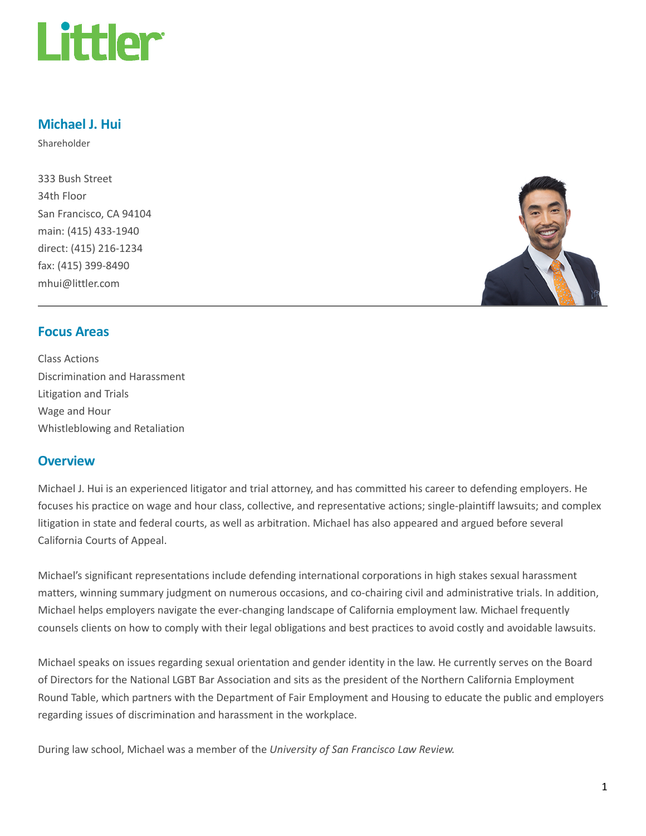

# Michael J. Hui

Shareholder

333 Bush Street 34th Floor San Francisco, CA 94104 main: (415) 433-1940 direct: (415) 216-1234 fax: (415) 399-8490 mhui@littler.com



## Focus Areas

Class Actions Discrimination and Harassment Litigation and Trials Wage and Hour Whistleblowing and Retaliation

### **Overview**

Michael J. Hui is an experienced litigator and trial attorney, and has committed his career to defending employers. He focuses his practice on wage and hour class, collective, and representative actions; single-plaintiff lawsuits; and complex litigation in state and federal courts, as well as arbitration. Michael has also appeared and argued before several California Courts of Appeal.

Michael's significant representations include defending international corporations in high stakes sexual harassment matters, winning summary judgment on numerous occasions, and co-chairing civil and administrative trials. In addition, Michael helps employers navigate the ever-changing landscape of California employment law. Michael frequently counsels clients on how to comply with their legal obligations and best practices to avoid costly and avoidable lawsuits.

Michael speaks on issues regarding sexual orientation and gender identity in the law. He currently serves on the Board of Directors for the National LGBT Bar Association and sits as the president of the Northern California Employment Round Table, which partners with the Department of Fair Employment and Housing to educate the public and employers regarding issues of discrimination and harassment in the workplace.

During law school, Michael was a member of the University of San Francisco Law Review.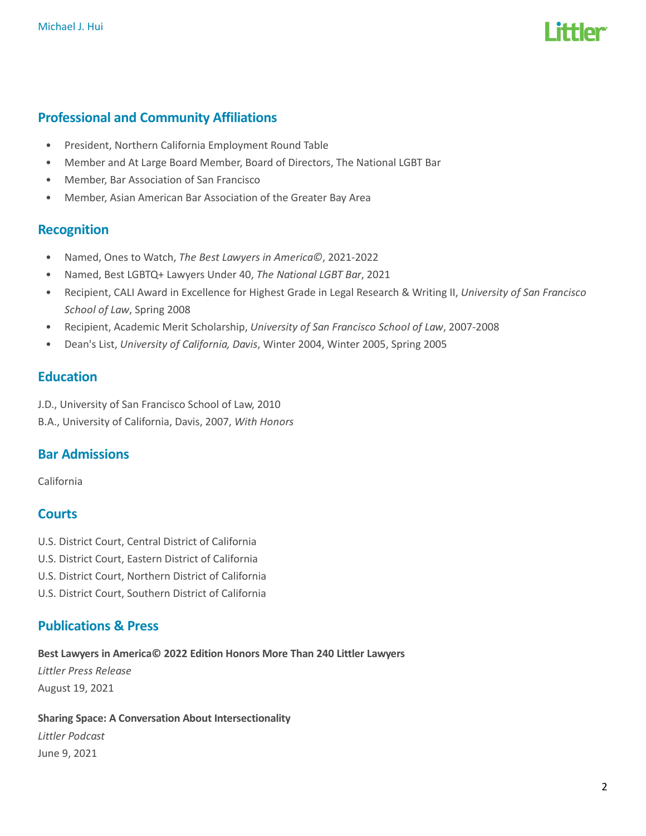

# Professional and Community Affiliations

- President, Northern California Employment Round Table
- Member and At Large Board Member, Board of Directors, The National LGBT Bar
- Member, Bar Association of San Francisco
- Member, Asian American Bar Association of the Greater Bay Area

### Recognition

- Named, Ones to Watch, The Best Lawyers in America©, 2021-2022
- Named, Best LGBTQ+ Lawyers Under 40, The National LGBT Bar, 2021
- Recipient, CALI Award in Excellence for Highest Grade in Legal Research & Writing II, University of San Francisco School of Law, Spring 2008
- Recipient, Academic Merit Scholarship, University of San Francisco School of Law, 2007-2008
- Dean's List, University of California, Davis, Winter 2004, Winter 2005, Spring 2005

### **Education**

- J.D., University of San Francisco School of Law, 2010
- B.A., University of California, Davis, 2007, With Honors

# Bar Admissions

California

## **Courts**

- U.S. District Court, Central District of California
- U.S. District Court, Eastern District of California
- U.S. District Court, Northern District of California
- U.S. District Court, Southern District of California

# Publications & Press

Best Lawyers in America© 2022 Edition Honors More Than 240 Littler Lawyers Littler Press Release August 19, 2021

#### Sharing Space: A Conversation About Intersectionality

Littler Podcast June 9, 2021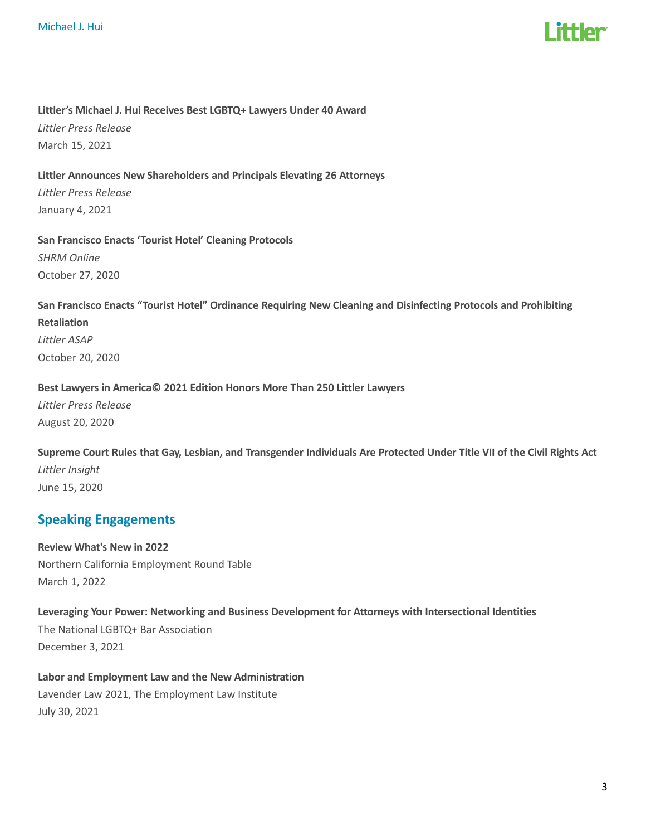

#### Littler's Michael J. Hui Receives Best LGBTQ+ Lawyers Under 40 Award

Littler Press Release March 15, 2021

#### Littler Announces New Shareholders and Principals Elevating 26 Attorneys

Littler Press Release January 4, 2021

San Francisco Enacts 'Tourist Hotel' Cleaning Protocols SHRM Online October 27, 2020

# San Francisco Enacts "Tourist Hotel" Ordinance Requiring New Cleaning and Disinfecting Protocols and Prohibiting Retaliation

Littler ASAP October 20, 2020

### Best Lawyers in America© 2021 Edition Honors More Than 250 Littler Lawyers

Littler Press Release August 20, 2020

Supreme Court Rules that Gay, Lesbian, and Transgender Individuals Are Protected Under Title VII of the Civil Rights Act Littler Insight June 15, 2020

# Speaking Engagements

Review What's New in 2022 Northern California Employment Round Table March 1, 2022

# Leveraging Your Power: Networking and Business Development for Attorneys with Intersectional Identities The National LGBTQ+ Bar Association December 3, 2021

Labor and Employment Law and the New Administration Lavender Law 2021, The Employment Law Institute July 30, 2021